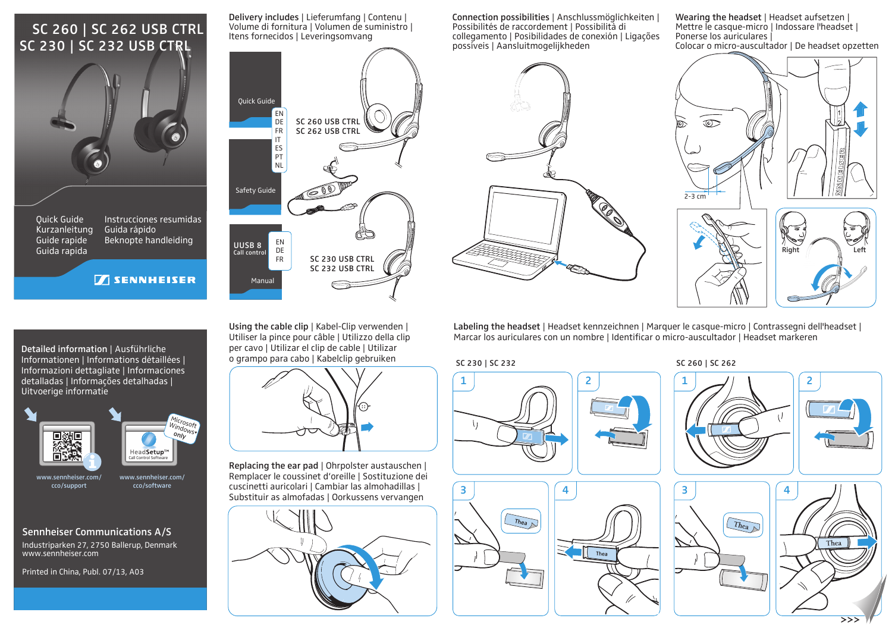# SC 230 | SC 232 USB CTRL SC 260 | SC 262 USB CTRL



Delivery includes | Lieferumfang | Contenu | Volume di fornitura | Volumen de suministro | Itens fornecidos | Leveringsomvang

Connection possibilities | Anschlussmöglichkeiten | Possibilités de raccordement | Possibilità di collegamento | Posibilidades de conexión | Ligações possíveis | Aansluitmogelijkheden

Wearing the headset | Headset aufsetzen | Mettre le casque-micro | Indossare l'headset | Ponerse los auriculares | Colocar o micro-auscultador | De headset opzetten



Labeling the headset | Headset kennzeichnen | Marquer le casque-micro | Contrassegni dell'headset | Marcar los auriculares con un nombre | Identificar o micro-auscultador | Headset markeren











Detailed information | Ausführliche Informationen | Informations détaillées | Informazioni dettagliate | Informaciones detalladas | Informações detalhadas | Uitvoerige informatie



www.sennheiser.com/ cco/support

cco/software

**TENNHEISER** 



Industriparken 27, 2750 Ballerup, Denmark www.sennheiser.comSennheiser Communications A/S

Printed in China, Publ. 07/13, A03



Using the cable clip | Kabel-Clip verwenden | Utiliser la pince pour câble | Utilizzo della clip per cavo | Utilizar el clip de cable | Utilizar o grampo para cabo | Kabelclip gebruiken



Replacing the ear pad | Ohrpolster austauschen | Remplacer le coussinet d'oreille | Sostituzione dei cuscinetti auricolari | Cambiar las almohadillas | Substituir as almofadas | Oorkussens vervangen



### SC 230 | SC 232 SC 260 | SC 262